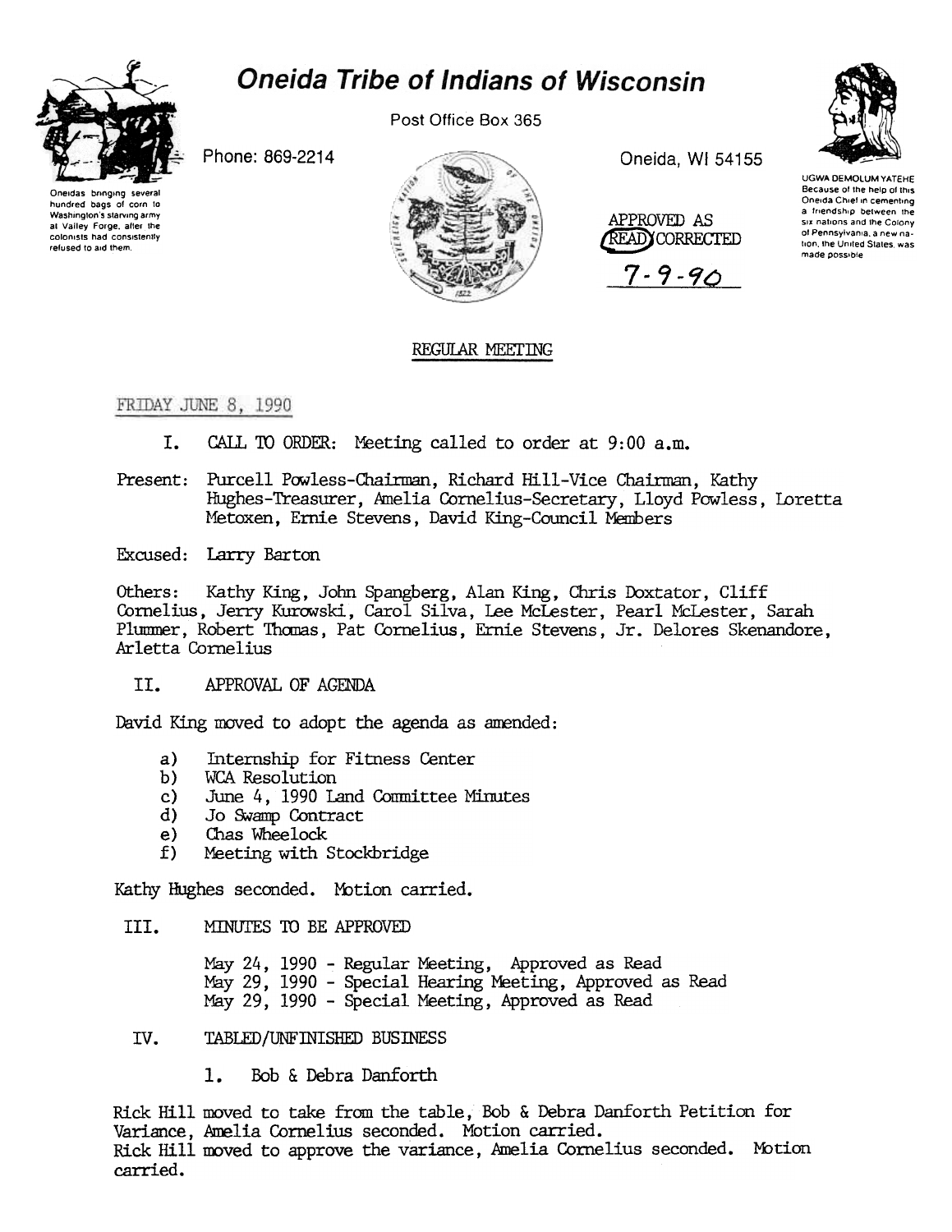## **Oneida Tribe of Indians of Wisconsin**



Post Office Box 365

Phone: 869-2214





Oneida, WI 54155



 $7 - 9 - 90$ 



**UGWA DEMOLUM YATEHE** Because of the help of this Oneida Chief in cementing a friendship between the six nations and the Colony of Pennsylvania, a new nation, the United States, was made possible

## REGULAR MEETING

FRIDAY JUNE 8, 1990

- I. CALL TO ORDER: Meeting called to order at 9:00 a.m.
- Present: Purcell Powless-Chairman, Richard Hill-Vice Chairman, Kathy Hughes-Treasurer, Amelia Cornelius-Secretary, Lloyd Powless, Loretta Metoxen. Ernie Stevens, David King-Council Members
- Excused: Larry Barton

Kathy King, John Spangberg, Alan King, Chris Doxtator, Cliff Others: Cornelius, Jerry Kurowski, Carol Silva, Lee McLester, Pearl McLester, Sarah Plummer, Robert Thomas, Pat Cornelius, Ernie Stevens, Jr. Delores Skenandore, Arletta Cornelius

II. APPROVAL OF AGENDA

David King moved to adopt the agenda as amended:

- Internship for Fitness Center a)
- $b)$ WCA Resolution
- June 4, 1990 Land Committee Minutes  $c$ )
- Jo Swamp Contract  $\mathbf{d}$
- Chas Wheelock  $e)$
- Meeting with Stockbridge  $f$ )

Kathy Hughes seconded. Motion carried.

III. MINUTES TO BE APPROVED

> May 24, 1990 - Regular Meeting, Approved as Read May 29, 1990 - Special Hearing Meeting, Approved as Read May 29, 1990 - Special Meeting, Approved as Read

TABLED/UNFINISHED BUSINESS IV.

> $1.$ Bob & Debra Danforth

Rick Hill moved to take from the table, Bob & Debra Danforth Petition for Variance, Amelia Cornelius seconded. Motion carried. Rick Hill moved to approve the variance, Amelia Cornelius seconded. Motion carried.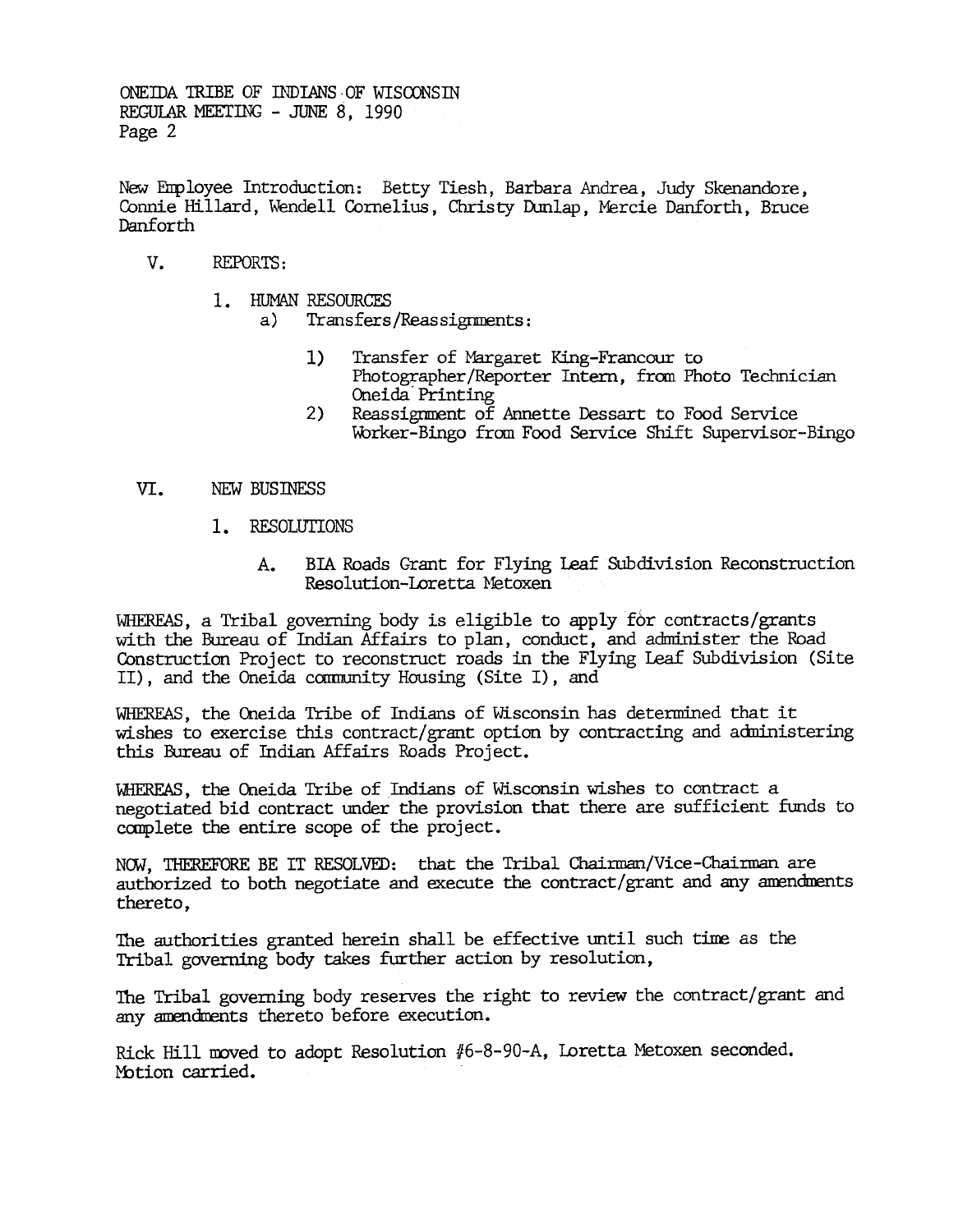ONEIDA TRIBE OF INDIANS OF WISCONSIN REGULAR MEETING - JUNE 8, 1990 Page 2

New EIrployee Introduction: Betty Tiesh, Barbara Andrea, Judy Skenandore, Connie Hillard, Wendell Cornelius, Christy Dunlap, Mercie Danforth, Bruce Danforth

- v. REPORTS:
	- 1. HUMAN RESOURCES
		- a) Transfers/Reassignments:
			- $1)$ Transfer of Margaret King-Francour to Photographer/Reporter Intern, from Photo Technician Oneida' Printing
			- Reassignment of Annette Dessart to Food Service Worker-Bingo from Food Service Shift Supervisor-Bingo
- NEW BUSINESS
	- 1. RESOLUTIONS
		- BIA Roads Grant for Flying Leaf Subdivision Reconstruction Resolution-Loretta Metoxen

2)<br>
VI. NEW BUSINESS<br>
1. RESOLUTI<br>
4. BI<br>
Re<br>
WHEREAS, a Tribal gove<br>
with the Bureau of Ind<br>
Construction Project t<br>
II), and the Oneida Construction<br>
wishes to exercise this<br>
this Bureau of Indian<br>
WHEREAS, the Oneida Tr WHEREAS, a Tribal governing body is eligible to apply for contracts/grants of contracts of Contracts (and administer the Contract roods in the Flying Leaf Subdivistic II), and the Oneida community Housing (Site I), and WHE with the Bureau of Indian Affairs to plan, conduct, and administer the Road Construction Project to reconstruct roads in the Flying Leaf Subdivision (Site II), and the Oneida camunity Housing (Site I), and

WHEREAS, the Oneida Tribe of Indians of Wisconsin has determined that it wishes to exercise this contract/grant option by contracting and adninistering this Bureau of Indian Affairs Roads Project.

WHEREAS, the Oneida Tribe of Indians of Wisconsin wishes to contract a negotiated bid contract under the provision that there are sufficient funds to complete the entire scope of the project.

NOW, THEREFORE BE IT RESOLVED: that the Tribal Chairman/Vice-Chairman are authorized to both negotiate and execute the contract/grant and any amendments thereto,

The authorities granted herein shall be effective until such tine as the Tribal governing body takes further action by resolution,

The Tribal governing body reserves the right to review the contract/grant and any amendments thereto before execution.

Rick Hill moved to adopt Resolution #6-8-90-A, Loretta Metoxen seconded. Motion carried.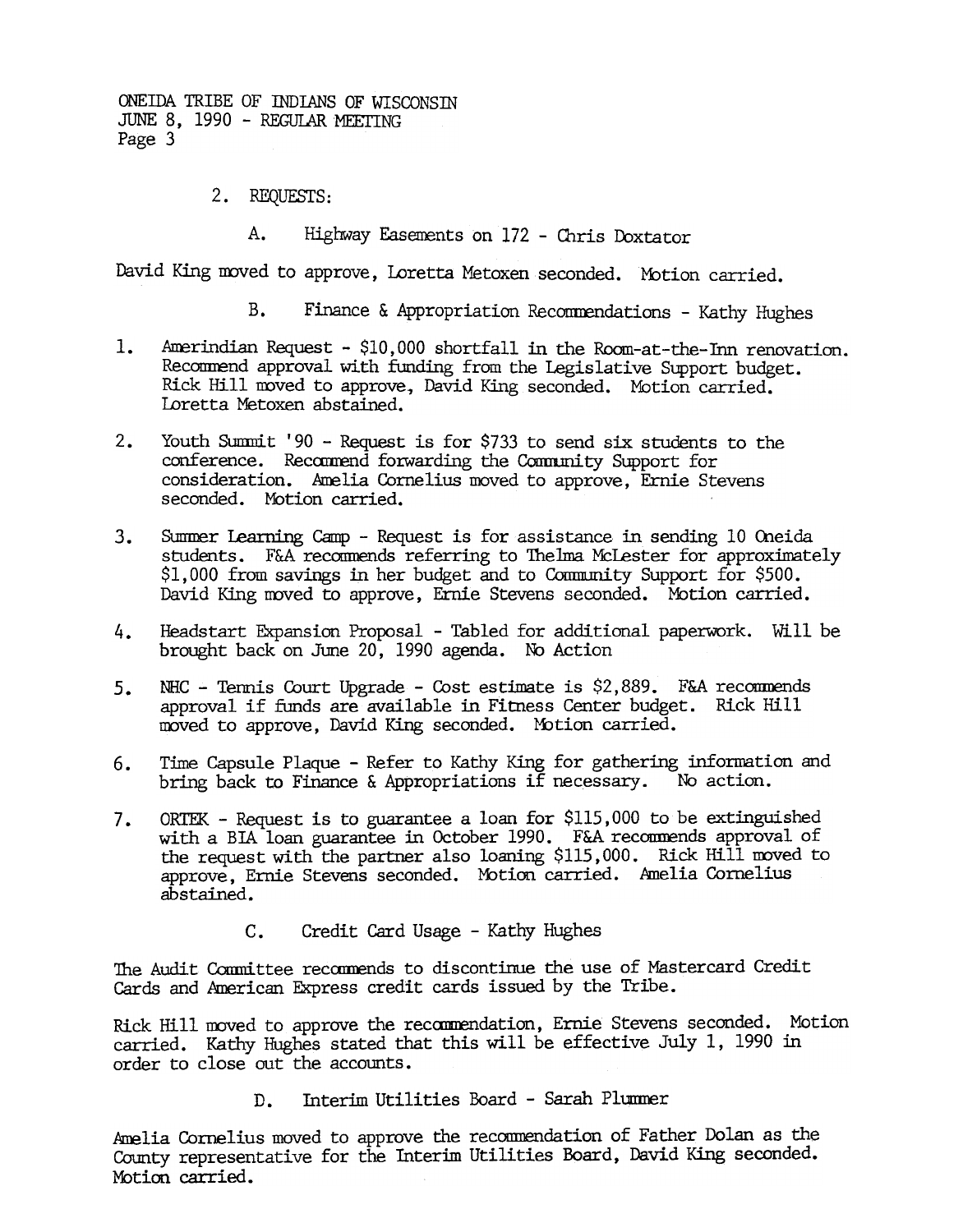ONEIDA TRIBE OF mDIANS OF WISCONSrn JUNE 8, 1990 - REGULAR MEETING Page 3

2. REQUESTS:

A. Highway Easements on 172 - Chris Doxtator

David King moved to approve, Loretta Metoxen seconded. Motion carried.

- B. Finance & Appropriation Recommendations Kathy Hughes
- 1. Amerindian Request - \$10,000 shortfall in the Room-at-the-Inn renovation. Recommend approval with funding from the Legislative Support budget. Rick Hill moved to approve, David King seconded. Motion carried. Loretta Metoxen abstained.
- 2. Youth Summit '90 Request is for \$733 to send six students to the conference. Recommend forwarding the Community Support for consideration. Amelia Cornelius moved to approve, Ernie Stevens seconded. Motion carried.
- students. F&A recommends referring to Thelma McLester for approximately \$1,000 from savings in her budget and to Community Support for \$500. David King noved to approve, Ernie Stevens seconded. Motion carried.
- Headstart Expansion Proposal -Tabled for additional paperwork. 4. Will be brought back on June 20, 1990 agenda. No Action
- NHC Tennis Court Upgrade Cost estimate is  $$2,889$ . F&A recommends approval if funds are available in Fitness Center budget. Rick Hill moved to approve, David King seconded. Motion carried. 5.
- Time Capsule Plaque Refer to Kathy King for gathering information and bring back to Finance & Appropriations if necessary. No action. 6.
- 3. Summer Learning Camp Request is for assistance in sending 10 Occidions (10 O:1eida 10 O:1eida 10 O:1eida 10 O:1eida 10 O:1eida 10 O:1eida 10 O:1eida 10 O:1eida 10 O:1eida 10 O:1eida 10 O:1eida 10 O:1eida 10 O:1eida 1 ORTEK - Request is to guarantee a loan for \$115,000 to be extinguished with a BIA loan guarantee in October 1990. F&A recommends approval of the request with the partner also loaning \$115,000. Ridk Hill moved to approve, Ernie Stevens seconded. Motion carried. Amelia Cornelius abstained. 7.
	- c. Credit Card Usage -Kathy Hughes

The Audit Committee recommends to discontinue the use of Mastercard Credit Cards and American Express credit cards issued by the Tribe.

Rick Hill moved to approve the recommendation, Ernie Stevens seconded. Motion carried. Kathy HUghes stated that this will be effective July I, 1990 in order to close out the accounts.

Interim Utilities Board - Sarah Plummer

Amelia Cornelius moved to approve the recommendation of Father Dolan as the County representative for the Interim Utilities Board, David King seconded. Motion carried.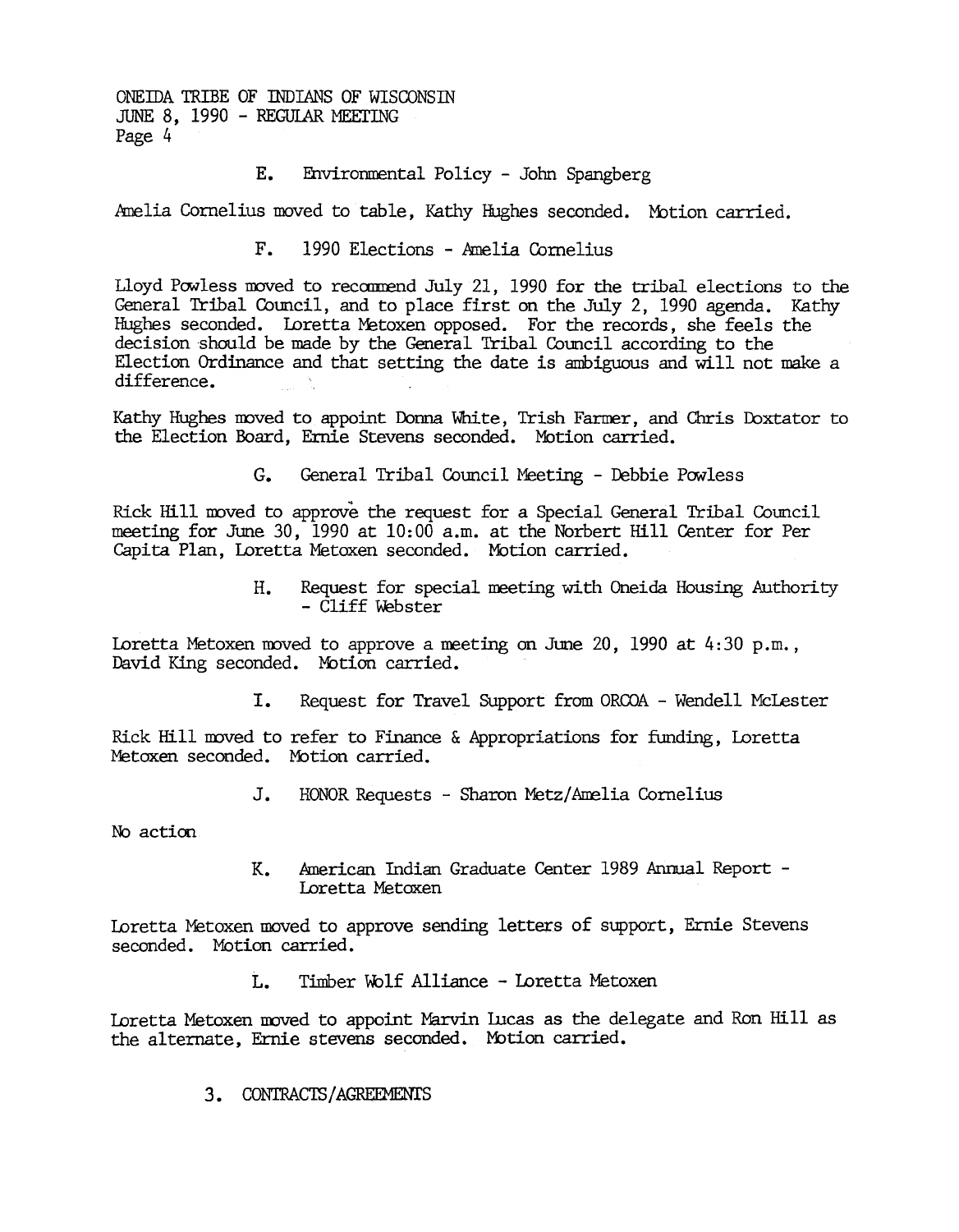ONEIDA TRIBE OF INDIANS OF WISCONSIN JUNE 8, 1990 - REGULAR MEETING Page 4

## E. Fnvirornrental Policy -John Spangberg

Amelia Cornelius moved to table, Kathy Hughes seconded. Motion carried.

F. 1990 Elections -Amelia Cornelius

Lloyd Powless moved to recommend July 21, 1990 for the tribal elections to the General Tribal Council, and to place first on the July 2, 1990 agenda. Kathy Hughes seconded. Loretta Metoxen opposed. For the records, she feels the decision 'should be made by the General Tribal Council according to the Election Ordinance and that setting the date is ambiguous and will not make a difference.

Kathy Hughes moved to appoint Donna White, Trish Farmer, and Chris Doxtator to the Election Board, Ernie Stevens seconded. Motion carried.

G. General Tribal Council Meeting - Debbie Powless

Rick Hill moved to approve the request for a Special General Tribal Council meeting for June 30, 1990 at 10:00 a.m. at the Norbert Hill Center for Per Capita Plan, Loretta Metoxen seconded. "Motion carried.

> Request for special meeting with Oneida Housing Authority H. - Cliff Webster

Loretta Metoxen moved to approve a meeting on June 20, 1990 at  $4:30$  p.m., David King seconded. Motion carried.

> Request for Travel Support from ORCOA - Wendell McLester I.

Rick Hill moved to refer to Finance & Appropriations for funding, Loretta Metoxen seconded. Motion carried.

> J. HONOR Requests - Sharon Metz/Amelia Cornelius

No action

hnerican Indian Graduate Center 1989 Arinua1 Report -  $K_{\bullet}$ Loretta Metoxen

Loretta Metoxen moved to approve sending letters of support, Ernie Stevens seconded. Motion carried.

L. Timber Wolf Alliance - Loretta Metoxen

Loretta Metoxen moved to appoint Marvin Lucas as the delegate and Ron Hill as the alternate, Ernie stevens seconded. Motion carried.

CONTRACTS / AGREEMENIS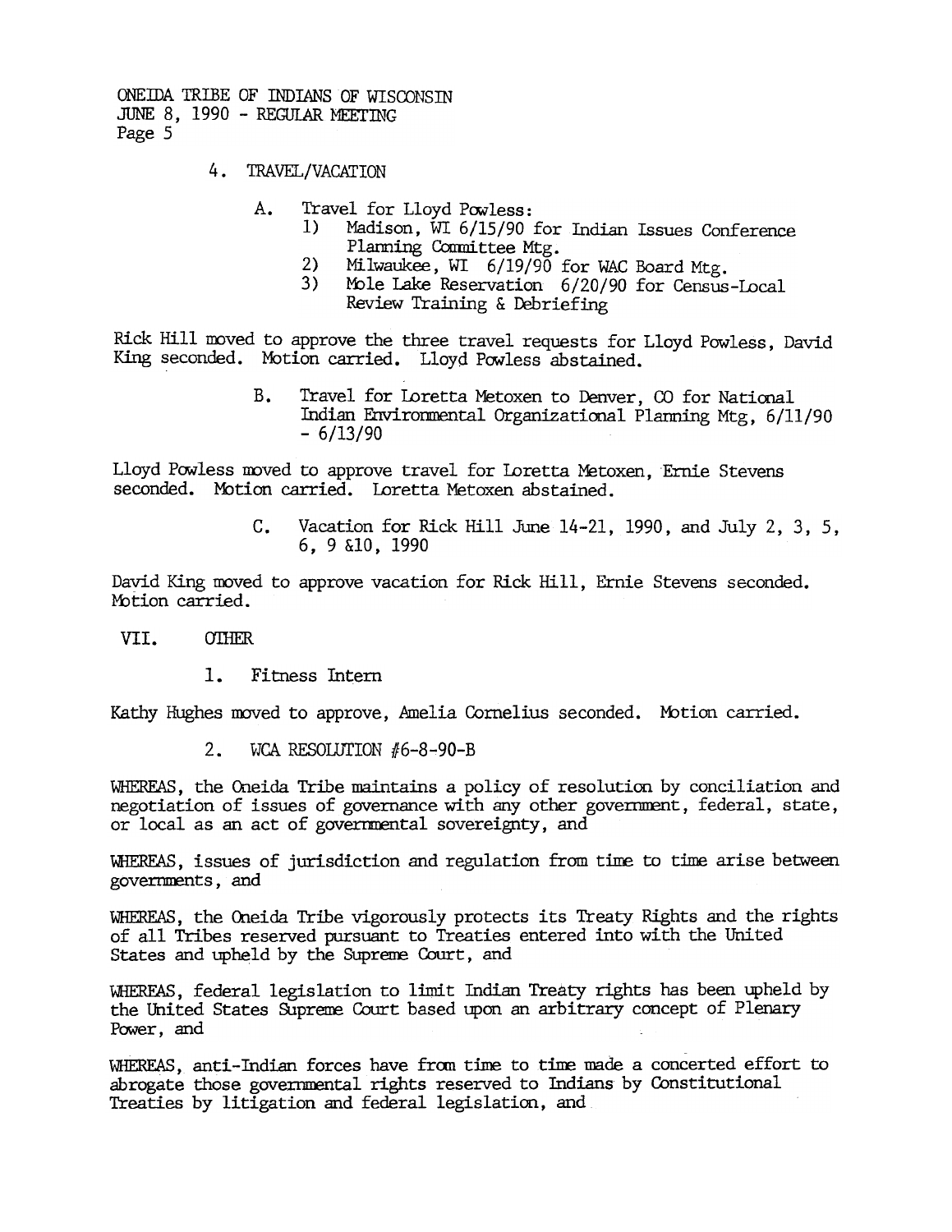ONEIDA TRIBE OF INDIANS OF WISCONSIN JUNE 8, 1990 - REGULAR MEETING Page 5

- TRAVEL/VACATION
	- A. Travel for Lloyd Powless:<br>1) Madison. WI 6/15/90 i
		- Madison, WI 6/15/90 for Indian Issues Conference Planning Committee Mtg.
		- 2) Milwaukee, WI 6/19/90 for WAC Board Mtg.<br>3) Mole Lake Reservation 6/20/90 for Census
		- Mole Lake Reservation 6/20/90 for Census-Local Review Training & Debriefing

Rick Hill moved to approve the three travel requests for Lloyd Powless, David King seconded. Mbtion carried. Lloyd Powless abstained.

> B. Travel for Loretta Metoxen to Denver, CO for National Indian ErNironmental Organizatiooal Plarming Mtg, 6/11/90  $-6/13/90$

Lloyd Powless moved to approve travel for Loretta Metoxen, Ernie Stevens seconded. Motion carried. Loretta Metoxen abstained.

> c. Vacation for Rick Hill June 14-21, 1990, and July 2, 3, 5, 6,9 &10,1990

David King moved to approve vacation for Rick Hill, Ernie Stevens seconded. Motion carried.

## VII. **OTHER**

 $\mathbf{1}$ . Fitness Intern

Kathy Hughes moved to approve, Amelia Cornelius seconded. Motion carried.

WHEREAS, the Oneida Tribe maintains a policy of resolution by conciliation and negotiation of issues of governance with any other government, federal, state, or local as an act of governmental sovereignty, and

WHEREAS, issues of jurisdiction and regulation from time to time arise between governnents, and

WHEREAS, the Oneida Tribe vigorously protects its Treaty Rights and the rights of all Tribes reserved pursuant to Treaties entered into with the United States and upheld by the Suprene. Court, and

2. WCA RESOLUTION #6-8-90-B<br>WHEREAS, the Oneida Tribe maintains a p<br>negotiation of issues of governance wit<br>or local as an act of governmental sove<br>WHEREAS, issues of jurisdiction and reg<br>governments, and<br>WHEREAS, the Onei WHEREAS, federal legislation to limit Indian Treaty rights has been upheld by the United States Supreme Court based upon an arbitrary concept of Plenary Power, and

WHEREAS, anti-Indian forces have fran tine to tine made a concerted effort to abrogate those governmental rights reserved to Indians by Constitutional Treaties by litigation and federal legislation, and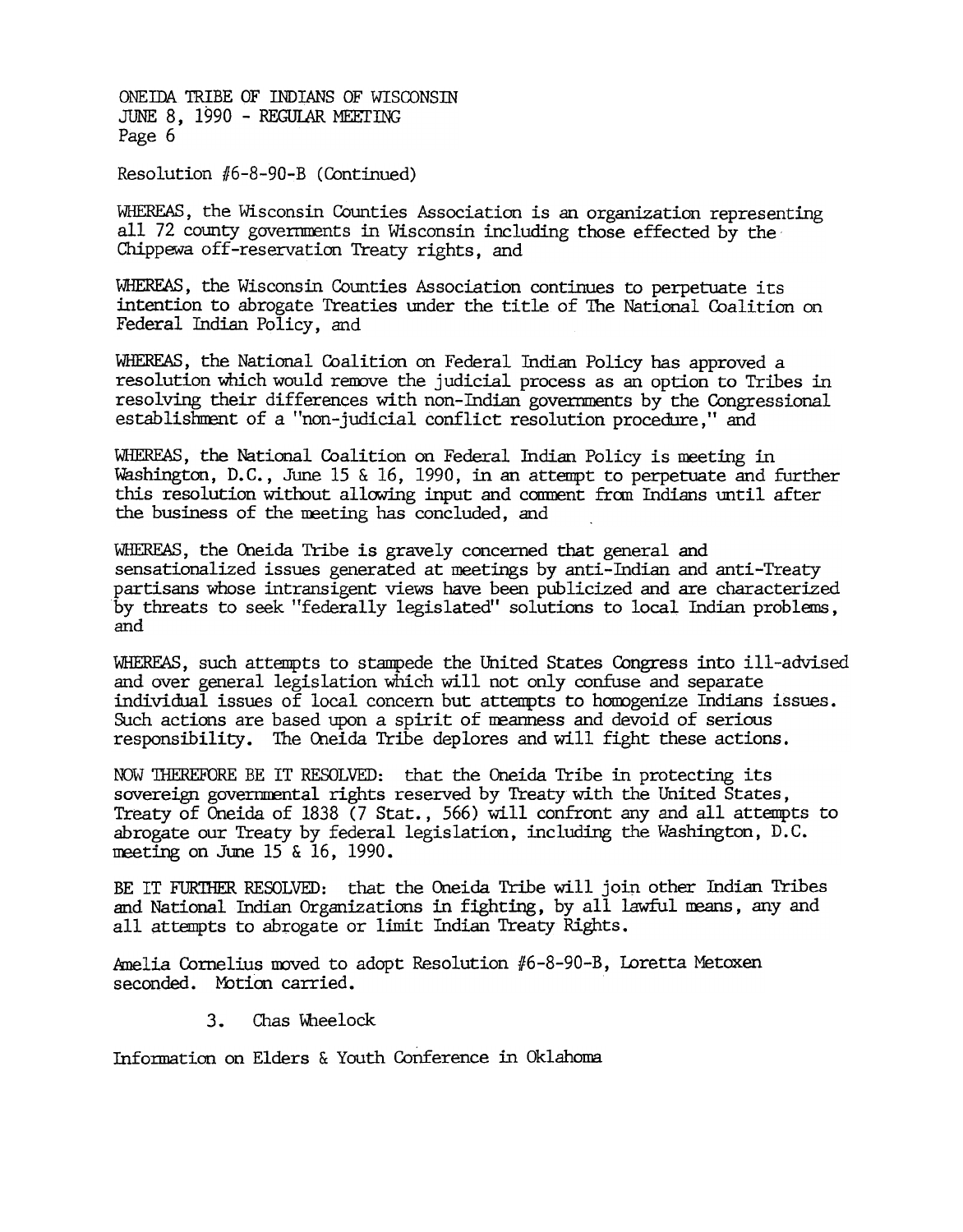ONEIDA TRIBE OF INDIANS OF WISCONSIN JUNE 8, 1990 - REGULAR MEETING Page 6

Resolution #6-8-90-B (Continued)

WHEREAS, the Wisconsin Counties Association is an organization representing all 72 county governments in Wisconsin including those effected by the Chippewa off-reservation Treaty rights, and

WHEREAS, the Wisconsin Counties Association continues to perpetuate its intention to abrogate Treaties under the title of The National Coalition on Federal Indian Policy, and

WHEREAS, the National Coalition on Federal Indian Policy has approved a resolution which would remove the judicial process as an option to Tribes in resolving their differences with non-Indian governments by the Congressional establishment of a "non-judicial conflict resolution procedure," and

WHEREAS, the National Coalition on Federal Indian Policy is meeting in Washington, D.C., June 15 & 16, 1990, in an attempt to perpetuate and further this resolution without allowing input and comment from Indians until after the business of the meeting has concluded, and

WHEREAS, the Oneida Tribe is gravely concerned that general and sensationalized issues generated at meetings by anti-Indian and anti-Treaty partisans whose intransigent views have been publicized and are characterized by threats to seek "federally legislated" solutions to local Indian problems, and

WHEREAS, such attempts to stampede the United States Congress into ill-advised and over general legislation which will not only confuse and separate individual issues of local concern but attempts to homogenize Indians issues. Such actions are based upon a spirit of meanness and devoid of serious responsibility. The Oneida Tribe deplores and will fight these actions.

NOW 'lliEREFORE BE IT RESOLVED: that the Oneida Tribe in protecting its sovereign governmental rights reserved by Treaty with the United States, Treaty of Oneida of 1838 (7 Stat., 566) will confront any and all attempts to abrogate our Treaty by federal legislation, includipg the Washington, D.C. meeting on June 15 & 16, 1990.

BE IT FURTHER RESOLVED: that the Oneida Tribe will join other Indian Tribes and National Indian Organizations in fighting, by all lawful neans, any and all attempts to abrogate or limit Indian Treaty Rights.

Amelia Cornelius moved to adopt Resolution #6-8-90-B, Loretta Metoxen seconded. Motion carried.

> $3.$ Chas Wheelock

Information on Elders & Youth Conference in Oklahoma